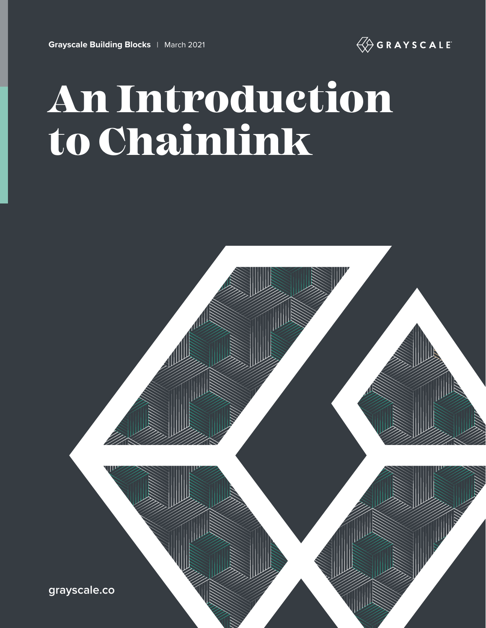

# An Introduction to Chainlink

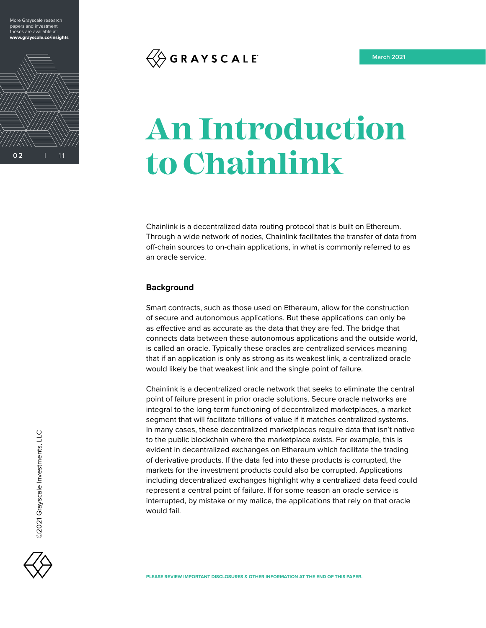



## $\langle \overline{\langle} \rangle$  G R A Y S C A L E

## **An Introduction to Chainlink**

Chainlink is a decentralized data routing protocol that is built on Ethereum. Through a wide network of nodes, Chainlink facilitates the transfer of data from off-chain sources to on-chain applications, in what is commonly referred to as an oracle service.

#### **Background**

Smart contracts, such as those used on Ethereum, allow for the construction of secure and autonomous applications. But these applications can only be as effective and as accurate as the data that they are fed. The bridge that connects data between these autonomous applications and the outside world, is called an oracle. Typically these oracles are centralized services meaning that if an application is only as strong as its weakest link, a centralized oracle would likely be that weakest link and the single point of failure.

Chainlink is a decentralized oracle network that seeks to eliminate the central point of failure present in prior oracle solutions. Secure oracle networks are integral to the long-term functioning of decentralized marketplaces, a market segment that will facilitate trillions of value if it matches centralized systems. In many cases, these decentralized marketplaces require data that isn't native to the public blockchain where the marketplace exists. For example, this is evident in decentralized exchanges on Ethereum which facilitate the trading of derivative products. If the data fed into these products is corrupted, the markets for the investment products could also be corrupted. Applications including decentralized exchanges highlight why a centralized data feed could represent a central point of failure. If for some reason an oracle service is interrupted, by mistake or my malice, the applications that rely on that oracle would fail.

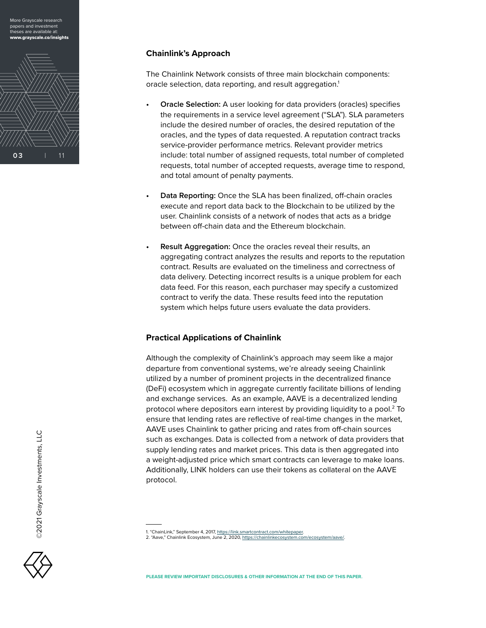More Grayscale research papers and investment theses are available at: w.grayscale.co/insights



#### **Chainlink's Approach**

The Chainlink Network consists of three main blockchain components: oracle selection, data reporting, and result aggregation.<sup>1</sup>

- **• Oracle Selection:** A user looking for data providers (oracles) specifies the requirements in a service level agreement ("SLA"). SLA parameters include the desired number of oracles, the desired reputation of the oracles, and the types of data requested. A reputation contract tracks service-provider performance metrics. Relevant provider metrics include: total number of assigned requests, total number of completed requests, total number of accepted requests, average time to respond, and total amount of penalty payments.
- **• Data Reporting:** Once the SLA has been finalized, off-chain oracles execute and report data back to the Blockchain to be utilized by the user. Chainlink consists of a network of nodes that acts as a bridge between off-chain data and the Ethereum blockchain.
- **• Result Aggregation:** Once the oracles reveal their results, an aggregating contract analyzes the results and reports to the reputation contract. Results are evaluated on the timeliness and correctness of data delivery. Detecting incorrect results is a unique problem for each data feed. For this reason, each purchaser may specify a customized contract to verify the data. These results feed into the reputation system which helps future users evaluate the data providers.

#### **Practical Applications of Chainlink**

Although the complexity of Chainlink's approach may seem like a major departure from conventional systems, we're already seeing Chainlink utilized by a number of prominent projects in the decentralized finance (DeFi) ecosystem which in aggregate currently facilitate billions of lending and exchange services. As an example, AAVE is a decentralized lending protocol where depositors earn interest by providing liquidity to a pool.2 To ensure that lending rates are reflective of real-time changes in the market, AAVE uses Chainlink to gather pricing and rates from off-chain sources such as exchanges. Data is collected from a network of data providers that supply lending rates and market prices. This data is then aggregated into a weight-adjusted price which smart contracts can leverage to make loans. Additionally, LINK holders can use their tokens as collateral on the AAVE protocol.



<sup>1. &</sup>quot;ChainLink," September 4, 2017, [https://link.smartcontract.com/whitepaper.](https://link.smartcontract.com/whitepaper)

<sup>2. &</sup>quot;Aave," Chainlink Ecosystem, June 2, 2020, [https://chainlinkecosystem.com/ecosystem/aave/.](https://chainlinkecosystem.com/ecosystem/aave/)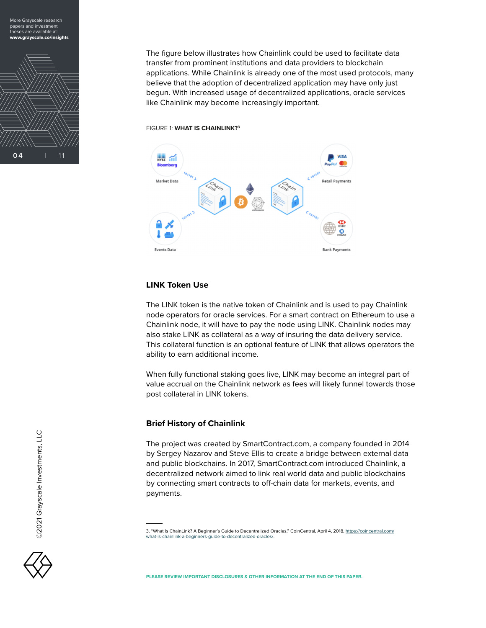



The figure below illustrates how Chainlink could be used to facilitate data transfer from prominent institutions and data providers to blockchain applications. While Chainlink is already one of the most used protocols, many believe that the adoption of decentralized application may have only just begun. With increased usage of decentralized applications, oracle services like Chainlink may become increasingly important.

FIGURE 1: **WHAT IS CHAINLINK?3**



#### **LINK Token Use**

The LINK token is the native token of Chainlink and is used to pay Chainlink node operators for oracle services. For a smart contract on Ethereum to use a Chainlink node, it will have to pay the node using LINK. Chainlink nodes may also stake LINK as collateral as a way of insuring the data delivery service. This collateral function is an optional feature of LINK that allows operators the ability to earn additional income.

When fully functional staking goes live, LINK may become an integral part of value accrual on the Chainlink network as fees will likely funnel towards those post collateral in LINK tokens.

#### **Brief History of Chainlink**

The project was created by SmartContract.com, a company founded in 2014 by Sergey Nazarov and Steve Ellis to create a bridge between external data and public blockchains. In 2017, SmartContract.com introduced Chainlink, a decentralized network aimed to link real world data and public blockchains by connecting smart contracts to off-chain data for markets, events, and payments.

<sup>3. &</sup>quot;What Is ChainLink? A Beginner's Guide to Decentralized Oracles," CoinCentral, April 4, 2018, [https://coincentral.com/](https://coincentral.com/what-is-chainlink-a-beginners-guide-to-decentralized-oracles/) [what-is-chainlink-a-beginners-guide-to-decentralized-oracles/.](https://coincentral.com/what-is-chainlink-a-beginners-guide-to-decentralized-oracles/)

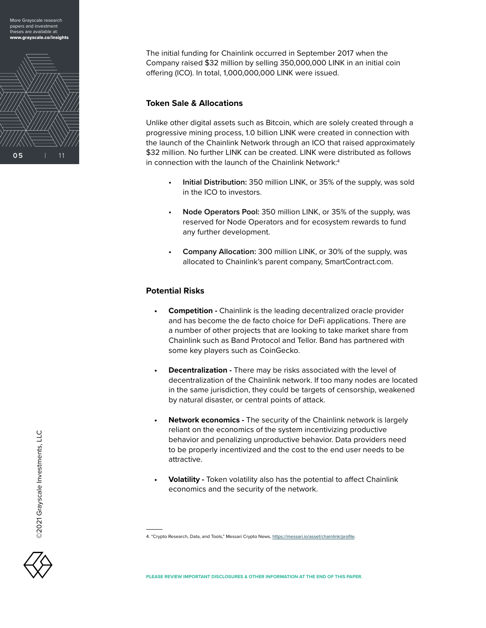



The initial funding for Chainlink occurred in September 2017 when the Company raised \$32 million by selling 350,000,000 LINK in an initial coin offering (ICO). In total, 1,000,000,000 LINK were issued.

#### **Token Sale & Allocations**

Unlike other digital assets such as Bitcoin, which are solely created through a progressive mining process, 1.0 billion LINK were created in connection with the launch of the Chainlink Network through an ICO that raised approximately \$32 million. No further LINK can be created. LINK were distributed as follows in connection with the launch of the Chainlink Network:<sup>4</sup>

- **• Initial Distribution:** 350 million LINK, or 35% of the supply, was sold in the ICO to investors.
- **• Node Operators Pool:** 350 million LINK, or 35% of the supply, was reserved for Node Operators and for ecosystem rewards to fund any further development.
- **• Company Allocation:** 300 million LINK, or 30% of the supply, was allocated to Chainlink's parent company, SmartContract.com.

#### **Potential Risks**

- **• Competition** Chainlink is the leading decentralized oracle provider and has become the de facto choice for DeFi applications. There are a number of other projects that are looking to take market share from Chainlink such as Band Protocol and Tellor. Band has partnered with some key players such as CoinGecko.
- **• Decentralization** There may be risks associated with the level of decentralization of the Chainlink network. If too many nodes are located in the same jurisdiction, they could be targets of censorship, weakened by natural disaster, or central points of attack.
- **• Network economics** The security of the Chainlink network is largely reliant on the economics of the system incentivizing productive behavior and penalizing unproductive behavior. Data providers need to be properly incentivized and the cost to the end user needs to be attractive.
- **• Volatility** Token volatility also has the potential to affect Chainlink economics and the security of the network.

©2021 Grayscale Investments, LLC

©2021 Grayscale Investments, LLC

<sup>4. &</sup>quot;Crypto Research, Data, and Tools," Messari Crypto News, [https://messari.io/asset/chainlink/profile.](https://messari.io/asset/chainlink/profile)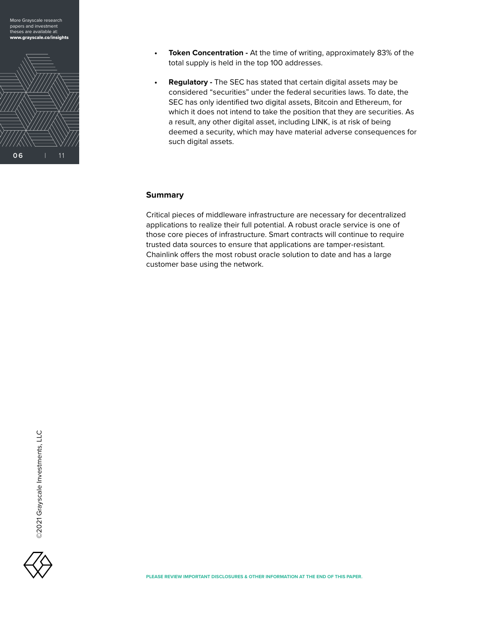

More Grayscale research

- **Token Concentration At the time of writing, approximately 83% of the** total supply is held in the top 100 addresses.
- **Regulatory** The SEC has stated that certain digital assets may be considered "securities" under the federal securities laws. To date, the SEC has only identified two digital assets, Bitcoin and Ethereum, for which it does not intend to take the position that they are securities. As a result, any other digital asset, including LINK, is at risk of being deemed a security, which may have material adverse consequences for such digital assets.

#### **Summary**

Critical pieces of middleware infrastructure are necessary for decentralized applications to realize their full potential. A robust oracle service is one of those core pieces of infrastructure. Smart contracts will continue to require trusted data sources to ensure that applications are tamper-resistant. Chainlink offers the most robust oracle solution to date and has a large customer base using the network.

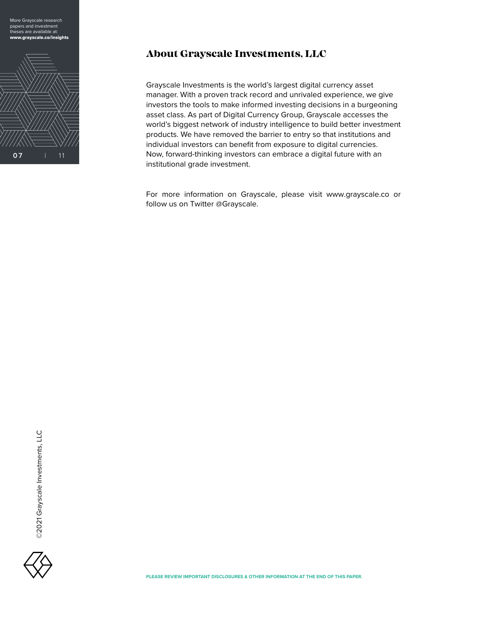



#### **About Grayscale Investments, LLC**

Grayscale Investments is the world's largest digital currency asset manager. With a proven track record and unrivaled experience, we give investors the tools to make informed investing decisions in a burgeoning asset class. As part of Digital Currency Group, Grayscale accesses the world's biggest network of industry intelligence to build better investment products. We have removed the barrier to entry so that institutions and individual investors can benefit from exposure to digital currencies. Now, forward-thinking investors can embrace a digital future with an institutional grade investment.

For more information on Grayscale, please visit www.grayscale.co or [follow us on Tw](https://twitter.com/grayscale)itter @Grayscale.

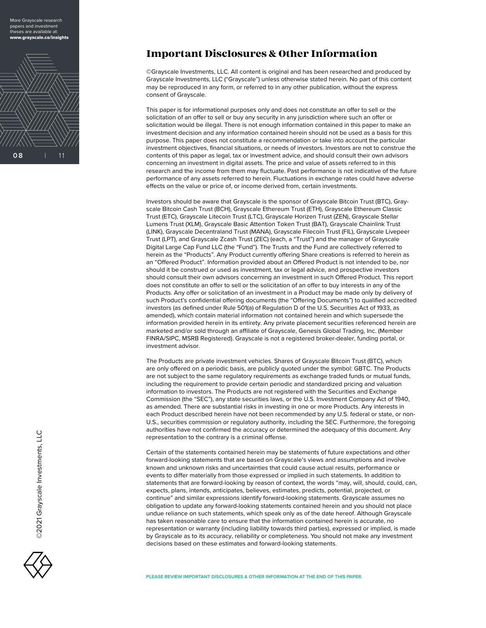More Grayscale research papers and investment heses are available at: www.grayscale.co/insights



#### **Important Disclosures & Other Information**

©Grayscale Investments, LLC. All content is original and has been researched and produced by Grayscale Investments, LLC ("Grayscale") unless otherwise stated herein. No part of this content may be reproduced in any form, or referred to in any other publication, without the express consent of Grayscale.

This paper is for informational purposes only and does not constitute an offer to sell or the solicitation of an offer to sell or buy any security in any jurisdiction where such an offer or solicitation would be illegal. There is not enough information contained in this paper to make an investment decision and any information contained herein should not be used as a basis for this purpose. This paper does not constitute a recommendation or take into account the particular investment objectives, financial situations, or needs of investors. Investors are not to construe the contents of this paper as legal, tax or investment advice, and should consult their own advisors concerning an investment in digital assets. The price and value of assets referred to in this research and the income from them may fluctuate. Past performance is not indicative of the future performance of any assets referred to herein. Fluctuations in exchange rates could have adverse effects on the value or price of, or income derived from, certain investments.

Investors should be aware that Grayscale is the sponsor of Grayscale Bitcoin Trust (BTC), Grayscale Bitcoin Cash Trust (BCH), Grayscale Ethereum Trust (ETH), Grayscale Ethereum Classic Trust (ETC), Grayscale Litecoin Trust (LTC), Grayscale Horizen Trust (ZEN), Grayscale Stellar Lumens Trust (XLM), Grayscale Basic Attention Token Trust (BAT), Grayscale Chainlink Trust (LINK), Grayscale Decentraland Trust (MANA), Grayscale Filecoin Trust (FIL), Grayscale Livepeer Trust (LPT), and Grayscale Zcash Trust (ZEC) (each, a "Trust") and the manager of Grayscale Digital Large Cap Fund LLC (the "Fund"). The Trusts and the Fund are collectively referred to herein as the "Products". Any Product currently offering Share creations is referred to herein as an "Offered Product". Information provided about an Offered Product is not intended to be, nor should it be construed or used as investment, tax or legal advice, and prospective investors should consult their own advisors concerning an investment in such Offered Product. This report does not constitute an offer to sell or the solicitation of an offer to buy interests in any of the Products. Any offer or solicitation of an investment in a Product may be made only by delivery of such Product's confidential offering documents (the "Offering Documents") to qualified accredited investors (as defined under Rule 501(a) of Regulation D of the U.S. Securities Act of 1933, as amended), which contain material information not contained herein and which supersede the information provided herein in its entirety. Any private placement securities referenced herein are marketed and/or sold through an affiliate of Grayscale, Genesis Global Trading, Inc. (Member FINRA/SIPC, MSRB Registered). Grayscale is not a registered broker-dealer, funding portal, or investment advisor.

The Products are private investment vehicles. Shares of Grayscale Bitcoin Trust (BTC), which are only offered on a periodic basis, are publicly quoted under the symbol: GBTC. The Products are not subject to the same regulatory requirements as exchange traded funds or mutual funds, including the requirement to provide certain periodic and standardized pricing and valuation information to investors. The Products are not registered with the Securities and Exchange Commission (the "SEC"), any state securities laws, or the U.S. Investment Company Act of 1940, as amended. There are substantial risks in investing in one or more Products. Any interests in each Product described herein have not been recommended by any U.S. federal or state, or non-U.S., securities commission or regulatory authority, including the SEC. Furthermore, the foregoing authorities have not confirmed the accuracy or determined the adequacy of this document. Any representation to the contrary is a criminal offense.

Certain of the statements contained herein may be statements of future expectations and other forward-looking statements that are based on Grayscale's views and assumptions and involve known and unknown risks and uncertainties that could cause actual results, performance or events to differ materially from those expressed or implied in such statements. In addition to statements that are forward-looking by reason of context, the words "may, will, should, could, can, expects, plans, intends, anticipates, believes, estimates, predicts, potential, projected, or continue" and similar expressions identify forward-looking statements. Grayscale assumes no obligation to update any forward-looking statements contained herein and you should not place undue reliance on such statements, which speak only as of the date hereof. Although Grayscale has taken reasonable care to ensure that the information contained herein is accurate, no representation or warranty (including liability towards third parties), expressed or implied, is made by Grayscale as to its accuracy, reliability or completeness. You should not make any investment decisions based on these estimates and forward-looking statements.

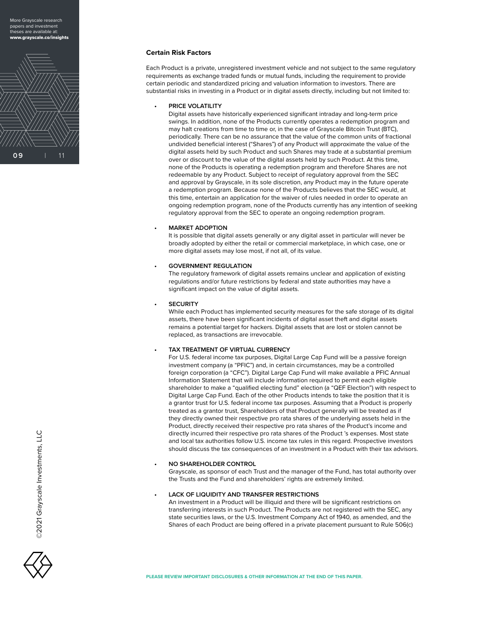More Grayscale research papers and investment neses are available at: www.grayscale.co/insights



#### **Certain Risk Factors**

Each Product is a private, unregistered investment vehicle and not subject to the same regulatory requirements as exchange traded funds or mutual funds, including the requirement to provide certain periodic and standardized pricing and valuation information to investors. There are substantial risks in investing in a Product or in digital assets directly, including but not limited to:

#### **• PRICE VOLATILITY**

Digital assets have historically experienced significant intraday and long-term price swings. In addition, none of the Products currently operates a redemption program and may halt creations from time to time or, in the case of Grayscale Bitcoin Trust (BTC), periodically. There can be no assurance that the value of the common units of fractional undivided beneficial interest ("Shares") of any Product will approximate the value of the digital assets held by such Product and such Shares may trade at a substantial premium over or discount to the value of the digital assets held by such Product. At this time, none of the Products is operating a redemption program and therefore Shares are not redeemable by any Product. Subject to receipt of regulatory approval from the SEC and approval by Grayscale, in its sole discretion, any Product may in the future operate a redemption program. Because none of the Products believes that the SEC would, at this time, entertain an application for the waiver of rules needed in order to operate an ongoing redemption program, none of the Products currently has any intention of seeking regulatory approval from the SEC to operate an ongoing redemption program.

#### **• MARKET ADOPTION**

It is possible that digital assets generally or any digital asset in particular will never be broadly adopted by either the retail or commercial marketplace, in which case, one or more digital assets may lose most, if not all, of its value.

#### **• GOVERNMENT REGULATION**

The regulatory framework of digital assets remains unclear and application of existing regulations and/or future restrictions by federal and state authorities may have a significant impact on the value of digital assets.

#### **• SECURITY**

While each Product has implemented security measures for the safe storage of its digital assets, there have been significant incidents of digital asset theft and digital assets remains a potential target for hackers. Digital assets that are lost or stolen cannot be replaced, as transactions are irrevocable.

#### **• TAX TREATMENT OF VIRTUAL CURRENCY**

For U.S. federal income tax purposes, Digital Large Cap Fund will be a passive foreign investment company (a "PFIC") and, in certain circumstances, may be a controlled foreign corporation (a "CFC"). Digital Large Cap Fund will make available a PFIC Annual Information Statement that will include information required to permit each eligible shareholder to make a "qualified electing fund" election (a "QEF Election") with respect to Digital Large Cap Fund. Each of the other Products intends to take the position that it is a grantor trust for U.S. federal income tax purposes. Assuming that a Product is properly treated as a grantor trust, Shareholders of that Product generally will be treated as if they directly owned their respective pro rata shares of the underlying assets held in the Product, directly received their respective pro rata shares of the Product's income and directly incurred their respective pro rata shares of the Product 's expenses. Most state and local tax authorities follow U.S. income tax rules in this regard. Prospective investors should discuss the tax consequences of an investment in a Product with their tax advisors.

#### **• NO SHAREHOLDER CONTROL**

Grayscale, as sponsor of each Trust and the manager of the Fund, has total authority over the Trusts and the Fund and shareholders' rights are extremely limited.

#### **• LACK OF LIQUIDITY AND TRANSFER RESTRICTIONS**

An investment in a Product will be illiquid and there will be significant restrictions on transferring interests in such Product. The Products are not registered with the SEC, any state securities laws, or the U.S. Investment Company Act of 1940, as amended, and the Shares of each Product are being offered in a private placement pursuant to Rule 506(c)

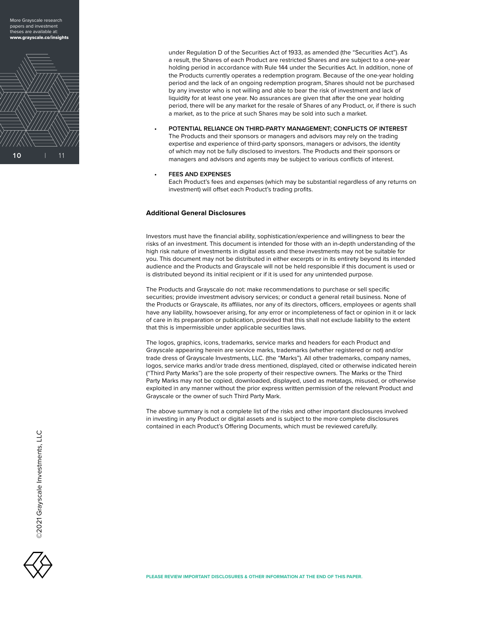More Grayscale research papers and investment teses are available at: www.grayscale.co/insights



under Regulation D of the Securities Act of 1933, as amended (the "Securities Act"). As a result, the Shares of each Product are restricted Shares and are subject to a one-year holding period in accordance with Rule 144 under the Securities Act. In addition, none of the Products currently operates a redemption program. Because of the one-year holding period and the lack of an ongoing redemption program, Shares should not be purchased by any investor who is not willing and able to bear the risk of investment and lack of liquidity for at least one year. No assurances are given that after the one year holding period, there will be any market for the resale of Shares of any Product, or, if there is such a market, as to the price at such Shares may be sold into such a market.

**• POTENTIAL RELIANCE ON THIRD-PARTY MANAGEMENT; CONFLICTS OF INTEREST** The Products and their sponsors or managers and advisors may rely on the trading expertise and experience of third-party sponsors, managers or advisors, the identity of which may not be fully disclosed to investors. The Products and their sponsors or managers and advisors and agents may be subject to various conflicts of interest.

#### **• FEES AND EXPENSES**

Each Product's fees and expenses (which may be substantial regardless of any returns on investment) will offset each Product's trading profits.

#### **Additional General Disclosures**

Investors must have the financial ability, sophistication/experience and willingness to bear the risks of an investment. This document is intended for those with an in-depth understanding of the high risk nature of investments in digital assets and these investments may not be suitable for you. This document may not be distributed in either excerpts or in its entirety beyond its intended audience and the Products and Grayscale will not be held responsible if this document is used or is distributed beyond its initial recipient or if it is used for any unintended purpose.

The Products and Grayscale do not: make recommendations to purchase or sell specific securities; provide investment advisory services; or conduct a general retail business. None of the Products or Grayscale, its affiliates, nor any of its directors, officers, employees or agents shall have any liability, howsoever arising, for any error or incompleteness of fact or opinion in it or lack of care in its preparation or publication, provided that this shall not exclude liability to the extent that this is impermissible under applicable securities laws.

The logos, graphics, icons, trademarks, service marks and headers for each Product and Grayscale appearing herein are service marks, trademarks (whether registered or not) and/or trade dress of Grayscale Investments, LLC. (the "Marks"). All other trademarks, company names, logos, service marks and/or trade dress mentioned, displayed, cited or otherwise indicated herein ("Third Party Marks") are the sole property of their respective owners. The Marks or the Third Party Marks may not be copied, downloaded, displayed, used as metatags, misused, or otherwise exploited in any manner without the prior express written permission of the relevant Product and Grayscale or the owner of such Third Party Mark.

The above summary is not a complete list of the risks and other important disclosures involved in investing in any Product or digital assets and is subject to the more complete disclosures contained in each Product's Offering Documents, which must be reviewed carefully.